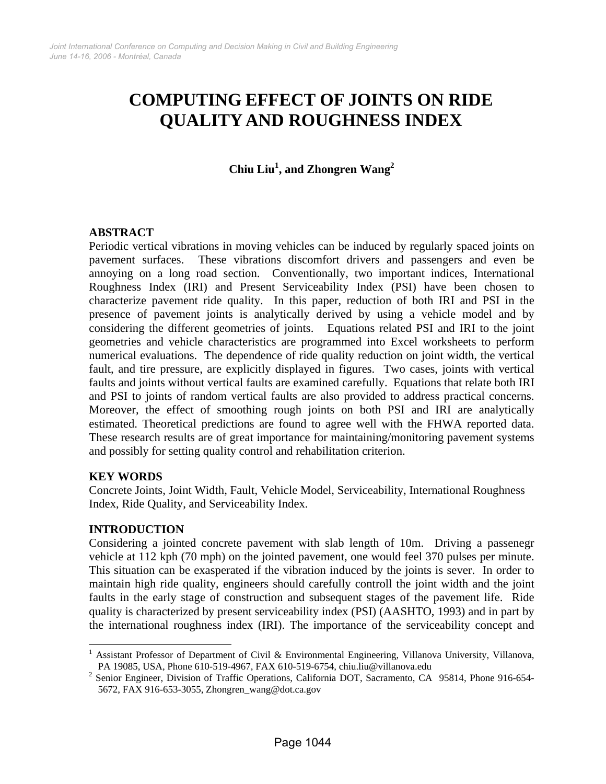# **COMPUTING EFFECT OF JOINTS ON RIDE QUALITY AND ROUGHNESS INDEX**

**Chiu Liu<sup>1</sup> , and Zhongren Wang<sup>2</sup>**

## **ABSTRACT**

Periodic vertical vibrations in moving vehicles can be induced by regularly spaced joints on pavement surfaces. These vibrations discomfort drivers and passengers and even be annoying on a long road section. Conventionally, two important indices, International Roughness Index (IRI) and Present Serviceability Index (PSI) have been chosen to characterize pavement ride quality. In this paper, reduction of both IRI and PSI in the presence of pavement joints is analytically derived by using a vehicle model and by considering the different geometries of joints. Equations related PSI and IRI to the joint geometries and vehicle characteristics are programmed into Excel worksheets to perform numerical evaluations. The dependence of ride quality reduction on joint width, the vertical fault, and tire pressure, are explicitly displayed in figures. Two cases, joints with vertical faults and joints without vertical faults are examined carefully. Equations that relate both IRI and PSI to joints of random vertical faults are also provided to address practical concerns. Moreover, the effect of smoothing rough joints on both PSI and IRI are analytically estimated. Theoretical predictions are found to agree well with the FHWA reported data. These research results are of great importance for maintaining/monitoring pavement systems and possibly for setting quality control and rehabilitation criterion.

## **KEY WORDS**

Concrete Joints, Joint Width, Fault, Vehicle Model, Serviceability, International Roughness Index, Ride Quality, and Serviceability Index.

# **INTRODUCTION**

 $\overline{\phantom{a}}$ 

Considering a jointed concrete pavement with slab length of 10m. Driving a passenegr vehicle at 112 kph (70 mph) on the jointed pavement, one would feel 370 pulses per minute. This situation can be exasperated if the vibration induced by the joints is sever. In order to maintain high ride quality, engineers should carefully controll the joint width and the joint faults in the early stage of construction and subsequent stages of the pavement life. Ride quality is characterized by present serviceability index (PSI) (AASHTO, 1993) and in part by the international roughness index (IRI). The importance of the serviceability concept and

<sup>&</sup>lt;sup>1</sup> Assistant Professor of Department of Civil & Environmental Engineering, Villanova University, Villanova, PA 19085, USA, Phone 610-519-4967, FAX 610-519-6754, chiu.liu@villanova.edu 2

<sup>&</sup>lt;sup>2</sup> Senior Engineer, Division of Traffic Operations, California DOT, Sacramento, CA 95814, Phone 916-654-5672, FAX 916-653-3055, Zhongren\_wang@dot.ca.gov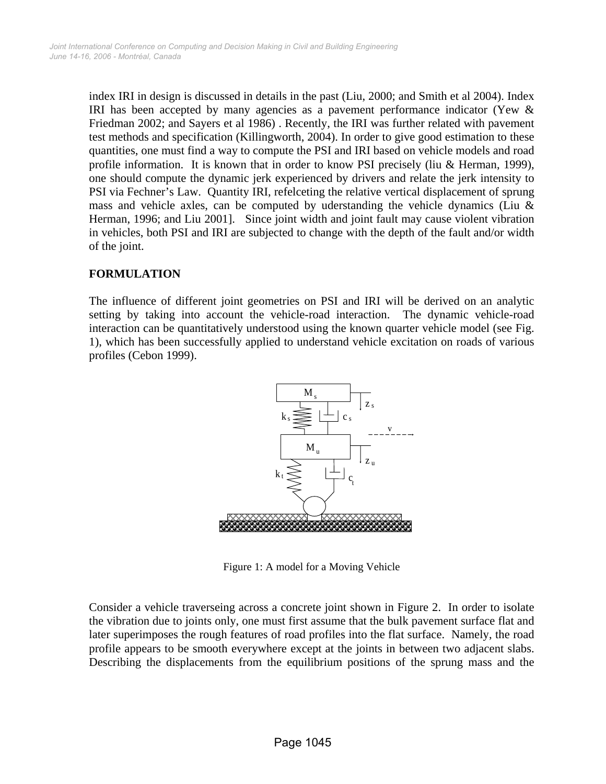index IRI in design is discussed in details in the past (Liu, 2000; and Smith et al 2004). Index IRI has been accepted by many agencies as a pavement performance indicator (Yew & Friedman 2002; and Sayers et al 1986) . Recently, the IRI was further related with pavement test methods and specification (Killingworth, 2004). In order to give good estimation to these quantities, one must find a way to compute the PSI and IRI based on vehicle models and road profile information. It is known that in order to know PSI precisely (liu & Herman, 1999), one should compute the dynamic jerk experienced by drivers and relate the jerk intensity to PSI via Fechner's Law. Quantity IRI, refelceting the relative vertical displacement of sprung mass and vehicle axles, can be computed by uderstanding the vehicle dynamics (Liu  $\&$ Herman, 1996; and Liu 2001]. Since joint width and joint fault may cause violent vibration in vehicles, both PSI and IRI are subjected to change with the depth of the fault and/or width of the joint.

# **FORMULATION**

The influence of different joint geometries on PSI and IRI will be derived on an analytic setting by taking into account the vehicle-road interaction. The dynamic vehicle-road interaction can be quantitatively understood using the known quarter vehicle model (see Fig. 1), which has been successfully applied to understand vehicle excitation on roads of various profiles (Cebon 1999).



Figure 1: A model for a Moving Vehicle

Consider a vehicle traverseing across a concrete joint shown in Figure 2. In order to isolate the vibration due to joints only, one must first assume that the bulk pavement surface flat and later superimposes the rough features of road profiles into the flat surface. Namely, the road profile appears to be smooth everywhere except at the joints in between two adjacent slabs. Describing the displacements from the equilibrium positions of the sprung mass and the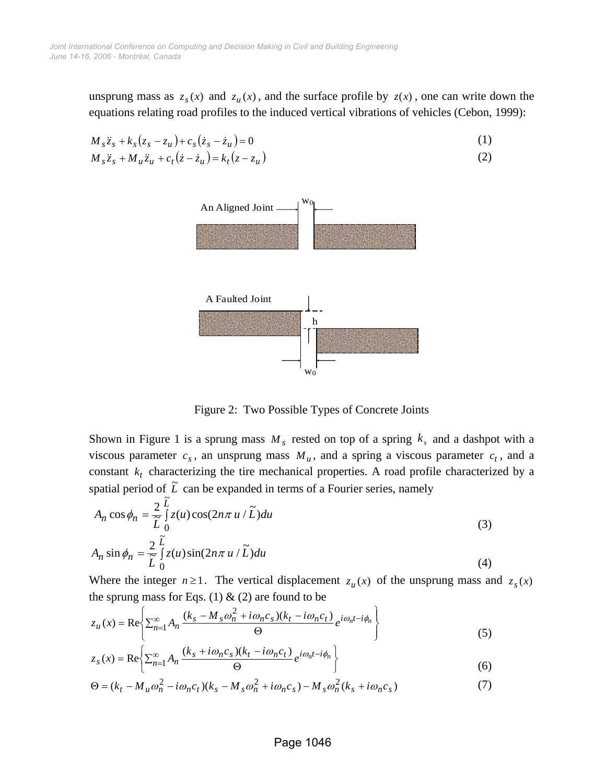unsprung mass as  $z_s(x)$  and  $z_u(x)$ , and the surface profile by  $z(x)$ , one can write down the equations relating road profiles to the induced vertical vibrations of vehicles (Cebon, 1999):

$$
M_{s}\ddot{z}_{s} + k_{s}(z_{s} - z_{u}) + c_{s}(\dot{z}_{s} - \dot{z}_{u}) = 0
$$
\n
$$
M_{s}\ddot{z}_{s} + M_{u}\ddot{z}_{u} + c_{t}(\dot{z} - \dot{z}_{u}) = k_{t}(z - z_{u})
$$
\n(1)\n(2)



Figure 2: Two Possible Types of Concrete Joints

Shown in Figure 1 is a sprung mass  $M_s$  rested on top of a spring  $k_s$  and a dashpot with a viscous parameter  $c_s$ , an unsprung mass  $M_u$ , and a spring a viscous parameter  $c_t$ , and a constant  $k_t$  characterizing the tire mechanical properties. A road profile characterized by a spatial period of  $\tilde{L}$  can be expanded in terms of a Fourier series, namely

$$
A_n \cos \phi_n = \frac{2}{\tilde{L}} \int_0^L z(u) \cos(2n\pi u / \tilde{L}) du
$$
  
\n
$$
A_n \sin \phi_n = \frac{2}{\tilde{L}} \int_0^{\tilde{L}} z(u) \sin(2n\pi u / \tilde{L}) du
$$
\n(3)

Where the integer  $n \ge 1$ . The vertical displacement  $z_u(x)$  of the unsprung mass and  $z_s(x)$ the sprung mass for Eqs. (1)  $\&$  (2) are found to be

$$
z_u(x) = \text{Re}\left\{\sum_{n=1}^{\infty} A_n \frac{(k_s - M_s \omega_n^2 + i\omega_n c_s)(k_t - i\omega_n c_t)}{\Theta} e^{i\omega_n t - i\phi_n} \right\}
$$
(5)

$$
z_s(x) = \text{Re}\left\{\sum_{n=1}^{\infty} A_n \frac{(k_s + i\omega_n c_s)(k_t - i\omega_n c_t)}{\Theta} e^{i\omega_n t - i\phi_n} \right\}
$$
(6)

$$
\Theta = (k_t - M_u \omega_n^2 - i\omega_n c_t)(k_s - M_s \omega_n^2 + i\omega_n c_s) - M_s \omega_n^2 (k_s + i\omega_n c_s)
$$
\n<sup>(7)</sup>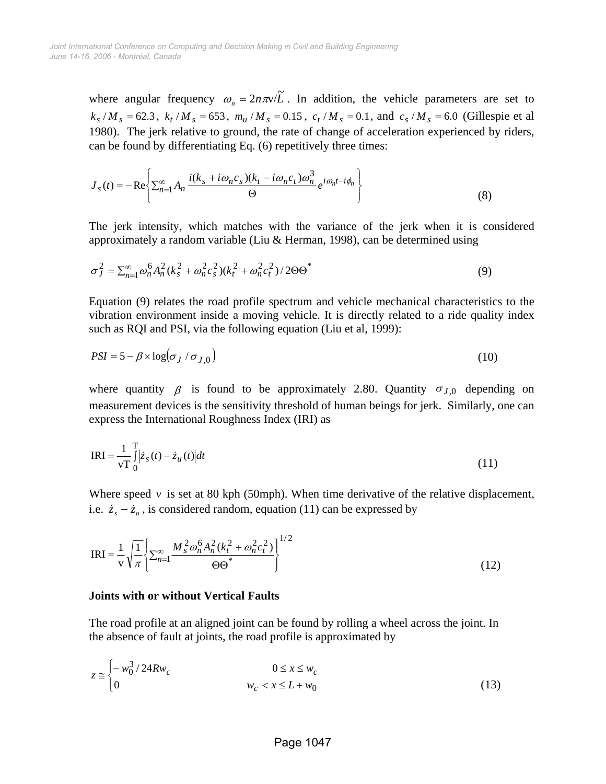where angular frequency  $\omega_n = 2n\pi v/\tilde{L}$ . In addition, the vehicle parameters are set to  $k_s/M_s = 62.3$ ,  $k_t/M_s = 653$ ,  $m_u/M_s = 0.15$ ,  $c_t/M_s = 0.1$ , and  $c_s/M_s = 6.0$  (Gillespie et al 1980). The jerk relative to ground, the rate of change of acceleration experienced by riders, can be found by differentiating Eq. (6) repetitively three times:

$$
J_{s}(t) = -\operatorname{Re}\left\{\sum_{n=1}^{\infty} A_{n} \frac{i(k_{s} + i\omega_{n}c_{s})(k_{t} - i\omega_{n}c_{t})\omega_{n}^{3}}{\Theta}e^{i\omega_{n}t - i\phi_{n}}\right\}
$$
(8)

The jerk intensity, which matches with the variance of the jerk when it is considered approximately a random variable (Liu & Herman, 1998), can be determined using

$$
\sigma_J^2 = \sum_{n=1}^{\infty} \omega_n^6 A_n^2 (k_s^2 + \omega_n^2 c_s^2) (k_t^2 + \omega_n^2 c_t^2) / 2\Theta \Theta^*
$$
\n(9)

Equation (9) relates the road profile spectrum and vehicle mechanical characteristics to the vibration environment inside a moving vehicle. It is directly related to a ride quality index such as RQI and PSI, via the following equation (Liu et al, 1999):

$$
PSI = 5 - \beta \times \log(\sigma_J / \sigma_{J,0})
$$
\n(10)

where quantity  $\beta$  is found to be approximately 2.80. Quantity  $\sigma_{J,0}$  depending on measurement devices is the sensitivity threshold of human beings for jerk. Similarly, one can express the International Roughness Index (IRI) as

$$
IRI = \frac{1}{vT} \int_{0}^{T} |\dot{z}_s(t) - \dot{z}_u(t)| dt
$$
\n(11)

Where speed  $v$  is set at 80 kph (50mph). When time derivative of the relative displacement, i.e.  $\dot{z}_s - \dot{z}_u$ , is considered random, equation (11) can be expressed by

$$
IRI = \frac{1}{v} \sqrt{\frac{1}{\pi}} \left\{ \sum_{n=1}^{\infty} \frac{M_s^2 \omega_n^6 A_n^2 (k_t^2 + \omega_n^2 c_t^2)}{\Theta \Theta^*} \right\}^{1/2}
$$
(12)

### **Joints with or without Vertical Faults**

The road profile at an aligned joint can be found by rolling a wheel across the joint. In the absence of fault at joints, the road profile is approximated by

$$
z \approx \begin{cases} -w_0^3/24Rw_c & 0 \le x \le w_c \\ 0 & w_c < x \le L + w_0 \end{cases} \tag{13}
$$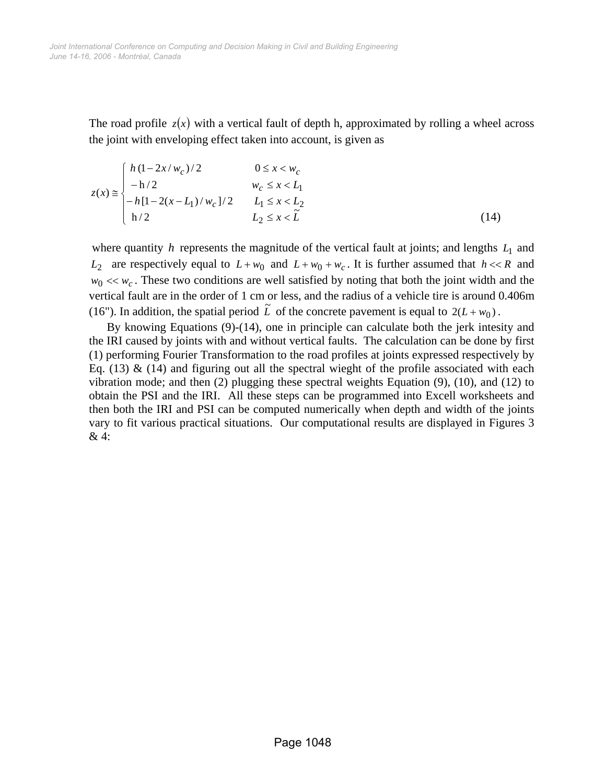The road profile  $z(x)$  with a vertical fault of depth h, approximated by rolling a wheel across the joint with enveloping effect taken into account, is given as

$$
z(x) \approx \begin{cases} h(1-2x/w_c)/2 & 0 \le x < w_c \\ -h/2 & w_c \le x < L_1 \\ -h[1-2(x-L_1)/w_c]/2 & L_1 \le x < L_2 \\ h/2 & L_2 \le x < \tilde{L} \end{cases}
$$
(14)

where quantity *h* represents the magnitude of the vertical fault at joints; and lengths  $L_1$  and *L*<sub>2</sub> are respectively equal to  $L + w_0$  and  $L + w_0 + w_c$ . It is further assumed that  $h \ll R$  and  $w_0 \ll w_c$ . These two conditions are well satisfied by noting that both the joint width and the vertical fault are in the order of 1 cm or less, and the radius of a vehicle tire is around 0.406m (16"). In addition, the spatial period  $\tilde{L}$  of the concrete pavement is equal to  $2(L+w_0)$ .

By knowing Equations (9)-(14), one in principle can calculate both the jerk intesity and the IRI caused by joints with and without vertical faults. The calculation can be done by first (1) performing Fourier Transformation to the road profiles at joints expressed respectively by Eq.  $(13)$  &  $(14)$  and figuring out all the spectral wieght of the profile associated with each vibration mode; and then (2) plugging these spectral weights Equation (9), (10), and (12) to obtain the PSI and the IRI. All these steps can be programmed into Excell worksheets and then both the IRI and PSI can be computed numerically when depth and width of the joints vary to fit various practical situations. Our computational results are displayed in Figures 3 & 4: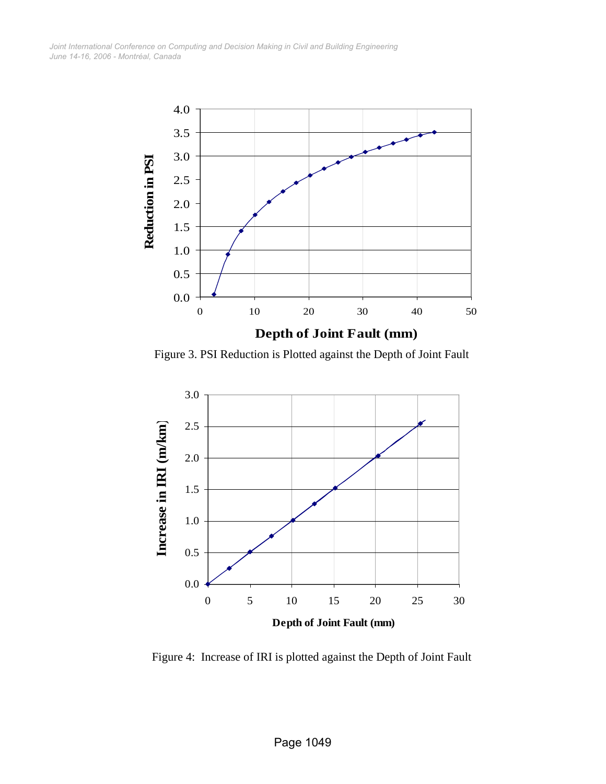*June 14-16, 2006 - Montréal, Canada Joint International Conference on Computing and Decision Making in Civil and Building Engineering*



Figure 3. PSI Reduction is Plotted against the Depth of Joint Fault



Figure 4: Increase of IRI is plotted against the Depth of Joint Fault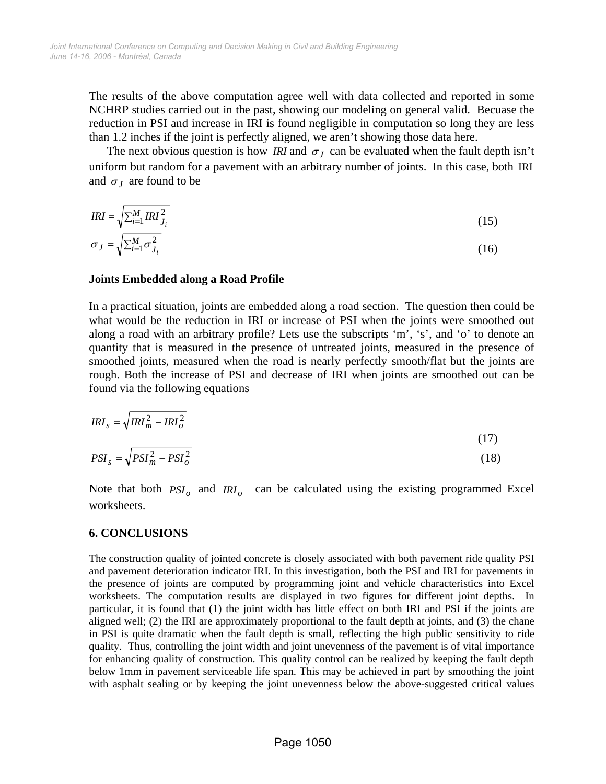The results of the above computation agree well with data collected and reported in some NCHRP studies carried out in the past, showing our modeling on general valid. Becuase the reduction in PSI and increase in IRI is found negligible in computation so long they are less than 1.2 inches if the joint is perfectly aligned, we aren't showing those data here.

The next obvious question is how *IRI* and  $\sigma<sub>J</sub>$  can be evaluated when the fault depth isn't uniform but random for a pavement with an arbitrary number of joints. In this case, both IRI and  $\sigma$ <sub>*I*</sub> are found to be

$$
IRI = \sqrt{\sum_{i=1}^{M} IRI_{J_i}^2}
$$
  
\n
$$
\sigma_J = \sqrt{\sum_{i=1}^{M} \sigma_{J_i}^2}
$$
\n(15)

## **Joints Embedded along a Road Profile**

In a practical situation, joints are embedded along a road section. The question then could be what would be the reduction in IRI or increase of PSI when the joints were smoothed out along a road with an arbitrary profile? Lets use the subscripts 'm', 's', and 'o' to denote an quantity that is measured in the presence of untreated joints, measured in the presence of smoothed joints, measured when the road is nearly perfectly smooth/flat but the joints are rough. Both the increase of PSI and decrease of IRI when joints are smoothed out can be found via the following equations

$$
IRI_s = \sqrt{IRI_m^2 - IRI_o^2}
$$
\n(17)

$$
PSI_s = \sqrt{PSI_m^2 - PSI_o^2}
$$
 (18)

Note that both  $PSI_0$  and  $IRI_0$  can be calculated using the existing programmed Excel worksheets.

### **6. CONCLUSIONS**

The construction quality of jointed concrete is closely associated with both pavement ride quality PSI and pavement deterioration indicator IRI. In this investigation, both the PSI and IRI for pavements in the presence of joints are computed by programming joint and vehicle characteristics into Excel worksheets. The computation results are displayed in two figures for different joint depths. In particular, it is found that (1) the joint width has little effect on both IRI and PSI if the joints are aligned well; (2) the IRI are approximately proportional to the fault depth at joints, and (3) the chane in PSI is quite dramatic when the fault depth is small, reflecting the high public sensitivity to ride quality. Thus, controlling the joint width and joint unevenness of the pavement is of vital importance for enhancing quality of construction. This quality control can be realized by keeping the fault depth below 1mm in pavement serviceable life span. This may be achieved in part by smoothing the joint with asphalt sealing or by keeping the joint unevenness below the above-suggested critical values